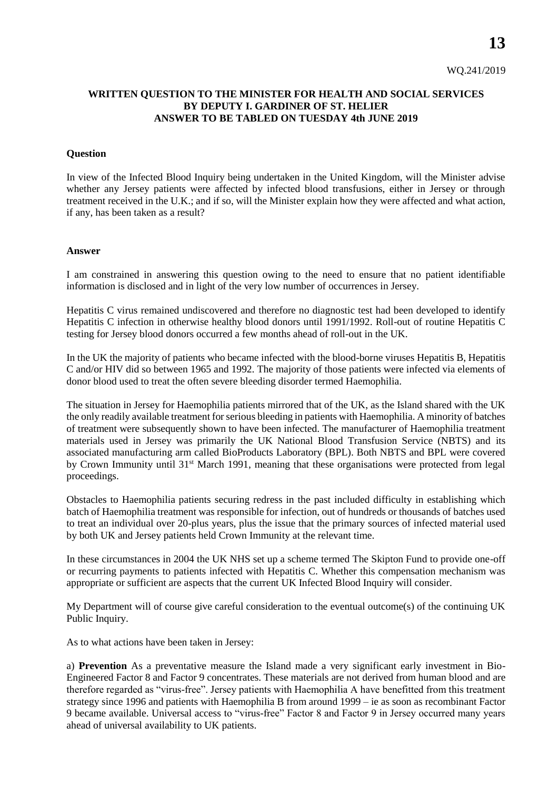## **WRITTEN QUESTION TO THE MINISTER FOR HEALTH AND SOCIAL SERVICES BY DEPUTY I. GARDINER OF ST. HELIER ANSWER TO BE TABLED ON TUESDAY 4th JUNE 2019**

## **Question**

In view of the Infected Blood Inquiry being undertaken in the United Kingdom, will the Minister advise whether any Jersey patients were affected by infected blood transfusions, either in Jersey or through treatment received in the U.K.; and if so, will the Minister explain how they were affected and what action, if any, has been taken as a result?

## **Answer**

I am constrained in answering this question owing to the need to ensure that no patient identifiable information is disclosed and in light of the very low number of occurrences in Jersey.

Hepatitis C virus remained undiscovered and therefore no diagnostic test had been developed to identify Hepatitis C infection in otherwise healthy blood donors until 1991/1992. Roll-out of routine Hepatitis C testing for Jersey blood donors occurred a few months ahead of roll-out in the UK.

In the UK the majority of patients who became infected with the blood-borne viruses Hepatitis B, Hepatitis C and/or HIV did so between 1965 and 1992. The majority of those patients were infected via elements of donor blood used to treat the often severe bleeding disorder termed Haemophilia.

The situation in Jersey for Haemophilia patients mirrored that of the UK, as the Island shared with the UK the only readily available treatment for serious bleeding in patients with Haemophilia. A minority of batches of treatment were subsequently shown to have been infected. The manufacturer of Haemophilia treatment materials used in Jersey was primarily the UK National Blood Transfusion Service (NBTS) and its associated manufacturing arm called BioProducts Laboratory (BPL). Both NBTS and BPL were covered by Crown Immunity until 31<sup>st</sup> March 1991, meaning that these organisations were protected from legal proceedings.

Obstacles to Haemophilia patients securing redress in the past included difficulty in establishing which batch of Haemophilia treatment was responsible for infection, out of hundreds or thousands of batches used to treat an individual over 20-plus years, plus the issue that the primary sources of infected material used by both UK and Jersey patients held Crown Immunity at the relevant time.

In these circumstances in 2004 the UK NHS set up a scheme termed The Skipton Fund to provide one-off or recurring payments to patients infected with Hepatitis C. Whether this compensation mechanism was appropriate or sufficient are aspects that the current UK Infected Blood Inquiry will consider.

My Department will of course give careful consideration to the eventual outcome(s) of the continuing UK Public Inquiry.

As to what actions have been taken in Jersey:

a) **Prevention** As a preventative measure the Island made a very significant early investment in Bio-Engineered Factor 8 and Factor 9 concentrates. These materials are not derived from human blood and are therefore regarded as "virus-free". Jersey patients with Haemophilia A have benefitted from this treatment strategy since 1996 and patients with Haemophilia B from around 1999 – ie as soon as recombinant Factor 9 became available. Universal access to "virus-free" Factor 8 and Factor 9 in Jersey occurred many years ahead of universal availability to UK patients.